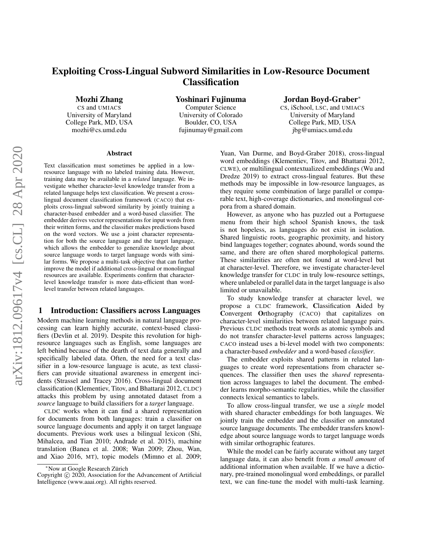# Exploiting Cross-Lingual Subword Similarities in Low-Resource Document **Classification**

Mozhi Zhang

CS and UMIACS University of Maryland College Park, MD, USA mozhi@cs.umd.edu

Yoshinari Fujinuma

Computer Science University of Colorado Boulder, CO, USA fujinumay@gmail.com

## Jordan Boyd-Graber<sup>∗</sup>

CS, iSchool, LSC, and UMIACS University of Maryland College Park, MD, USA jbg@umiacs.umd.edu

#### Abstract

Text classification must sometimes be applied in a lowresource language with no labeled training data. However, training data may be available in a *related* language. We investigate whether character-level knowledge transfer from a related language helps text classification. We present a crosslingual document classification framework (CACO) that exploits cross-lingual subword similarity by jointly training a character-based embedder and a word-based classifier. The embedder derives vector representations for input words from their written forms, and the classifier makes predictions based on the word vectors. We use a joint character representation for both the source language and the target language, which allows the embedder to generalize knowledge about source language words to target language words with similar forms. We propose a multi-task objective that can further improve the model if additional cross-lingual or monolingual resources are available. Experiments confirm that characterlevel knowledge transfer is more data-efficient than wordlevel transfer between related languages.

## 1 Introduction: Classifiers across Languages

Modern machine learning methods in natural language processing can learn highly accurate, context-based classifiers (Devlin et al. 2019). Despite this revolution for highresource languages such as English, some languages are left behind because of the dearth of text data generally and specifically labeled data. Often, the need for a text classifier in a low-resource language is acute, as text classifiers can provide situational awareness in emergent incidents (Strassel and Tracey 2016). Cross-lingual document classification (Klementiev, Titov, and Bhattarai 2012, CLDC) attacks this problem by using annotated dataset from a *source* language to build classifiers for a *target* language.

CLDC works when it can find a shared representation for documents from both languages: train a classifier on source language documents and apply it on target language documents. Previous work uses a bilingual lexicon (Shi, Mihalcea, and Tian 2010; Andrade et al. 2015), machine translation (Banea et al. 2008; Wan 2009; Zhou, Wan, and Xiao 2016, MT), topic models (Mimno et al. 2009;

Yuan, Van Durme, and Boyd-Graber 2018), cross-lingual word embeddings (Klementiev, Titov, and Bhattarai 2012, CLWE), or multilingual contextualized embeddings (Wu and Dredze 2019) to extract cross-lingual features. But these methods may be impossible in low-resource languages, as they require some combination of large parallel or comparable text, high-coverage dictionaries, and monolingual corpora from a shared domain.

However, as anyone who has puzzled out a Portuguese menu from their high school Spanish knows, the task is not hopeless, as languages do not exist in isolation. Shared linguistic roots, geographic proximity, and history bind languages together; cognates abound, words sound the same, and there are often shared morphological patterns. These similarities are often not found at word-level but at character-level. Therefore, we investigate character-level knowledge transfer for CLDC in truly low-resource settings, where unlabeled or parallel data in the target language is also limited or unavailable.

To study knowledge transfer at character level, we propose a CLDC framework, Classification Aided by Convergent Orthography (CACO) that capitalizes on character-level similarities between related language pairs. Previous CLDC methods treat words as atomic symbols and do not transfer character-level patterns across languages; CACO instead uses a bi-level model with two components: a character-based *embedder* and a word-based *classifier*.

The embedder exploits shared patterns in related languages to create word representations from character sequences. The classifier then uses the *shared* representation across languages to label the document. The embedder learns morpho-semantic regularities, while the classifier connects lexical semantics to labels.

To allow cross-lingual transfer, we use a *single* model with shared character embeddings for both languages. We jointly train the embedder and the classifier on annotated source language documents. The embedder transfers knowledge about source language words to target language words with similar orthographic features.

While the model can be fairly accurate without any target language data, it can also benefit from *a small amount* of additional information when available. If we have a dictionary, pre-trained monolingual word embeddings, or parallel text, we can fine-tune the model with multi-task learning.

<sup>∗</sup>Now at Google Research Zurich ¨

Copyright  $\odot$  2020, Association for the Advancement of Artificial Intelligence (www.aaai.org). All rights reserved.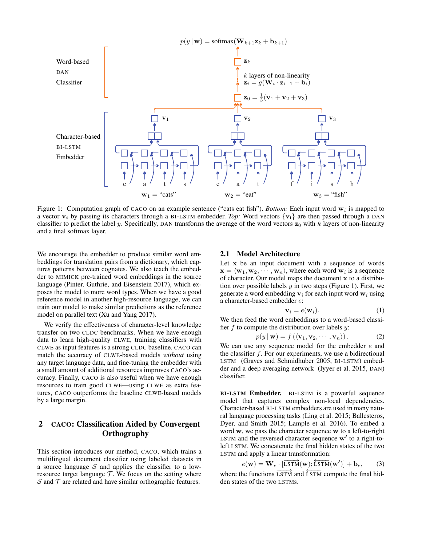

Figure 1: Computation graph of CACO on an example sentence ("cats eat fish"). *Bottom:* Each input word  $w_i$  is mapped to a vector  $v_i$  by passing its characters through a BI-LSTM embedder. Top: Word vectors  $\{v_i\}$  are then passed through a DAN classifier to predict the label y. Specifically, DAN transforms the average of the word vectors  $z_0$  with k layers of non-linearity and a final softmax layer. and a final softmax layer.

We encourage the embedder to produce similar word em-We encourage the embedder to produce similar word embeddings for translation pairs from a dictionary, which cap-beddings for translation pairs from a dictionary, which captures patterns between cognates. We also teach the embed-tures patterns between cognates. We also teach the embedder to MIMICK pre-trained word embeddings in the source der to MIMICK pre-trained word embeddings in the source language (Pinter, Guthrie, and Eisenstein 2017), which ex-language (Pinter, Guthrie, and Eisenstein 2017), which exposes the model to more word types. When we have a good poses the model to more word types. When we have a good reference model in another high resource language, we can reference model in another high-resource language, we can train our model to make similar predictions as the reference train our model to make similar predictions as the reference model on parallel text (Xu and Yang 2017). model on parallel text (Xu and Yang 2017).

We verify the effectiveness of character-level knowledge We verify the effectiveness of character-level knowledge transfer on two CLDC benchmarks. When we have enough transfer on two CLDC benchmarks. When we have enough data to learn high-quality CLWE, training classifiers with data to learn high-quality CLWE, training classifiers with CLWE as input features is a strong CLDC baseline. CACO can CLWE as input features is a strong CLDC baseline. CACO can match the accuracy of CLWE-based models *without* using match the accuracy of CLWE-based models *without* using any target language data, and fine-tuning the embedder with any target language data, and fine-tuning the embedder with anger ranguage data, and mic-tuning the embedder with a small amount of additional resources improves CACO's ac-<br>august Finally, CACO is also useful when we have enough  $\alpha$ . Thany, CACO is also useful when we have chough resources to train good CLWE—using CLWE as extra fea-<br>tures, C<sub>LO</sub>C outperforms the baseline CLWE based models tures, CACO outperforms the baseline CLWE-based models curacy. Finally, CACO is also useful when we have enough by a large margin.

## $\alpha$   $\alpha$   $\beta$   $\beta$   $\beta$   $\beta$ 2 CACO: Classification Aided by Convergent **Orthography**

This section introduces our method, CACO, which trains a multilingual document classifier using labeled datasets in a source language S and applies the classifier to a lowresource target language  $\mathcal T$ . We focus on the setting where  $S$  and  $T$  are related and have similar orthographic features.

# 2.1 Model Architecture 2.1 Model Architecture

Let x be an input document with a sequence of words Let x be an input document with a sequence of words  $\mathbf{x} = \langle \mathbf{w}_1, \mathbf{w}_2, \cdots, \mathbf{w}_n \rangle$ , where each word  $\mathbf{w}_i$  is a sequence of character. Our model maps the document  $\bf{x}$  to a distribution over possible labels  $y$  in two steps (Figure 1). First, we generate a word embedding  $v_i$  for each input word  $w_i$  using a character-based embedder e: a character-based embedder e:

$$
\mathbf{v}_i = e(\mathbf{w}_i). \tag{1}
$$

We then feed the word embeddings to a word-based classifier  $f$  to compute the distribution over labels  $y$ :

$$
p(y | \mathbf{w}) = f(\langle \mathbf{v}_1, \mathbf{v}_2, \cdots, \mathbf{v}_n \rangle).
$$
 (2)

We can use any sequence model for the embedder  $e$  and the classifier  $f$ . For our experiments, we use a bidirectional LSTM (Graves and Schmidhuber 2005, BI-LSTM) embedder and a deep averaging network (Iyyer et al. 2015, DAN) der and a determine network (IV) and a determine network (IV) and a determine network (IV) and a set al. 2015, DAN (IV) and a set al. 2015, DAN (IV) and a set al. 2015, DAN (IV) and a set al. 2015, DAN (IV) and a set al. 2 classifier.

model that captures complex non-local dependencies. Character-based BI-LSTM embedders are used in many natural language processing tasks (Ling et al. 2015; Ballesteros, Dyer, and Smith 2015; Lample et al. 2016). To embed a word w, we pass the character sequence w to a left-to-right LSTM and the reversed character sequence  $w'$  to a right-toleft LSTM. We concatenate the final hidden states of the two LSTM and apply a linear transformation: BI-LSTM Embedder. BI-LSTM is a powerful sequence

$$
e(\mathbf{w}) = \mathbf{W}_e \cdot \left[ \overrightarrow{\text{LSTM}}(\mathbf{w}); \overleftarrow{\text{LSTM}}(\mathbf{w'}) \right] + \mathbf{b}_e, \qquad (3)
$$

where the functions  $\overrightarrow{LSTM}$  and  $\overleftarrow{LSTM}$  compute the final hidden states of the two LSTMs.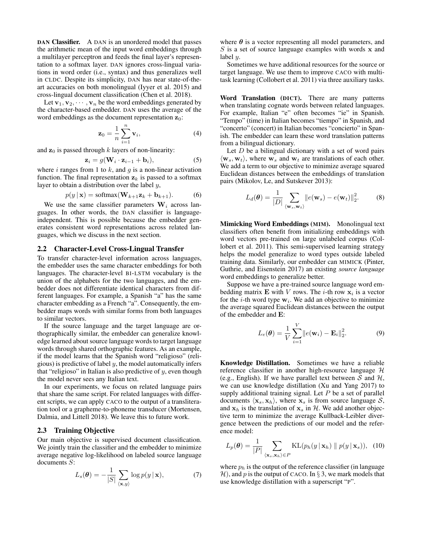DAN Classifier. A DAN is an unordered model that passes the arithmetic mean of the input word embeddings through a multilayer perceptron and feeds the final layer's representation to a softmax layer. DAN ignores cross-lingual variations in word order (i.e., syntax) and thus generalizes well in CLDC. Despite its simplicity, DAN has near state-of-theart accuracies on both monolingual (Iyyer et al. 2015) and cross-lingual document classification (Chen et al. 2018).

Let  $\mathbf{v}_1, \mathbf{v}_2, \cdots, \mathbf{v}_n$  be the word embeddings generated by the character-based embedder. DAN uses the average of the word embeddings as the document representation  $z_0$ :

$$
\mathbf{z}_0 = \frac{1}{n} \sum_{i=1}^n \mathbf{v}_i,\tag{4}
$$

and  $z_0$  is passed through k layers of non-linearity:

$$
\mathbf{z}_i = g(\mathbf{W}_i \cdot \mathbf{z}_{i-1} + \mathbf{b}_i),\tag{5}
$$

where  $i$  ranges from 1 to  $k$ , and  $g$  is a non-linear activation function. The final representation  $z_k$  is passed to a softmax layer to obtain a distribution over the label y,

$$
p(y | \mathbf{x}) = \text{softmax}(\mathbf{W}_{k+1} \mathbf{z}_k + \mathbf{b}_{k+1}).
$$
 (6)

We use the same classifier parameters  $W_i$  across languages. In other words, the DAN classifier is languageindependent. This is possible because the embedder generates consistent word representations across related languages, which we discuss in the next section.

#### 2.2 Character-Level Cross-Lingual Transfer

To transfer character-level information across languages, the embedder uses the same character embeddings for both languages. The character-level BI-LSTM vocabulary is the union of the alphabets for the two languages, and the embedder does not differentiate identical characters from different languages. For example, a Spanish "a" has the same character embedding as a French "a". Consequently, the embedder maps words with similar forms from both languages to similar vectors.

If the source language and the target language are orthographically similar, the embedder can generalize knowledge learned about source language words to target language words through shared orthographic features. As an example, if the model learns that the Spanish word "religioso" (religious) is predictive of label  $y$ , the model automatically infers that "religioso" in Italian is also predictive of  $y$ , even though the model never sees any Italian text.

In our experiments, we focus on related language pairs that share the same script. For related languages with different scripts, we can apply CACO to the output of a transliteration tool or a grapheme-to-phoneme transducer (Mortensen, Dalmia, and Littell 2018). We leave this to future work.

#### 2.3 Training Objective

Our main objective is supervised document classification. We jointly train the classifier and the embedder to minimize average negative log-likelihood on labeled source language documents S:

$$
L_s(\boldsymbol{\theta}) = -\frac{1}{|S|} \sum_{\langle \mathbf{x}, y \rangle} \log p(y \,|\, \mathbf{x}), \tag{7}
$$

where  $\theta$  is a vector representing all model parameters, and  $S$  is a set of source language examples with words  $x$  and label y.

Sometimes we have additional resources for the source or target language. We use them to improve CACO with multitask learning (Collobert et al. 2011) via three auxiliary tasks.

Word Translation (DICT). There are many patterns when translating cognate words between related languages. For example, Italian "e" often becomes "ie" in Spanish. "Tempo" (time) in Italian becomes "tiempo" in Spanish, and "concerto" (concert) in Italian becomes "concierto" in Spanish. The embedder can learn these word translation patterns from a bilingual dictionary.

Let  $D$  be a bilingual dictionary with a set of word pairs  $\langle \mathbf{w}_s, \mathbf{w}_t \rangle$ , where  $\mathbf{w}_s$  and  $\mathbf{w}_t$  are translations of each other. We add a term to our objective to minimize average squared Euclidean distances between the embeddings of translation pairs (Mikolov, Le, and Sutskever 2013):

$$
L_d(\boldsymbol{\theta}) = \frac{1}{|D|} \sum_{\langle \mathbf{w}_s, \mathbf{w}_t \rangle} ||e(\mathbf{w}_s) - e(\mathbf{w}_t)||_2^2.
$$
 (8)

Mimicking Word Embeddings (MIM). Monolingual text classifiers often benefit from initializing embeddings with word vectors pre-trained on large unlabeled corpus (Collobert et al. 2011). This semi-supervised learning strategy helps the model generalize to word types outside labeled training data. Similarly, our embedder can MIMICK (Pinter, Guthrie, and Eisenstein 2017) an existing *source language* word embeddings to generalize better.

Suppose we have a pre-trained source language word embedding matrix **E** with *V* rows. The *i*-th row  $x_i$  is a vector for the *i*-th word type  $w_i$ . We add an objective to minimize the average squared Euclidean distances between the output of the embedder and E:

$$
L_e(\theta) = \frac{1}{V} \sum_{i=1}^{V} ||e(\mathbf{w}_i) - \mathbf{E}_i||_2^2.
$$
 (9)

Knowledge Distillation. Sometimes we have a reliable reference classifier in another high-resource language  $H$ (e.g., English). If we have parallel text between S and  $H$ , we can use knowledge distillation (Xu and Yang 2017) to supply additional training signal. Let  $P$  be a set of parallel documents  $\langle \mathbf{x}_s, \mathbf{x}_h \rangle$ , where  $\mathbf{x}_s$  is from source language  $\mathcal{S}$ , and  $x_h$  is the translation of  $x_s$  in H. We add another objective term to minimize the average Kullback-Leibler divergence between the predictions of our model and the reference model:

$$
L_p(\boldsymbol{\theta}) = \frac{1}{|P|} \sum_{\langle \mathbf{x}_s, \mathbf{x}_h \rangle \in P} \text{KL}(p_h(y \mid \mathbf{x}_h) \parallel p(y \mid \mathbf{x}_s)), \quad (10)
$$

where  $p_h$  is the output of the reference classifier (in language  $\mathcal{H}$ ), and p is the output of CACO. In § 3, we mark models that use knowledge distillation with a superscript "P".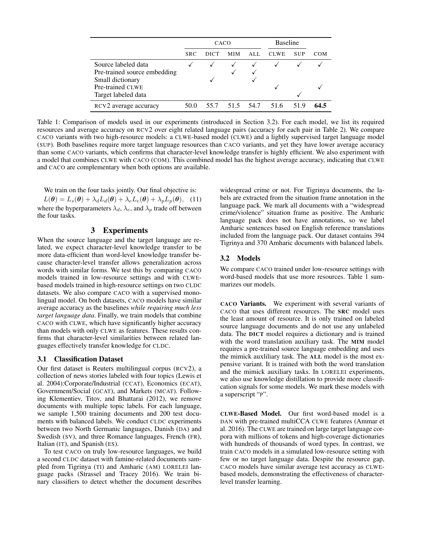|                                   |            | CACO |      |      | <b>Baseline</b> |            |      |
|-----------------------------------|------------|------|------|------|-----------------|------------|------|
|                                   | <b>SRC</b> | DICT | MIM  | ALL. | <b>CLWE</b>     | <b>SUP</b> | COM  |
| Source labeled data               |            |      |      |      |                 |            |      |
| Pre-trained source embedding      |            |      |      |      |                 |            |      |
| Small dictionary                  |            |      |      |      |                 |            |      |
| Pre-trained CLWE                  |            |      |      |      |                 |            |      |
| Target labeled data               |            |      |      |      |                 |            |      |
| RCV <sub>2</sub> average accuracy | 50.0       | 55.7 | 51.5 | 54.7 | 51.6            | 519        | 64.5 |

Table 1: Comparison of models used in our experiments (introduced in Section 3.2). For each model, we list its required resources and average accuracy on RCV2 over eight related language pairs (accuracy for each pair in Table 2). We compare CACO variants with two high-resource models: a CLWE-based model (CLWE) and a lightly supervised target language model (SUP). Both baselines require more target language resources than CACO variants, and yet they have lower average accuracy than some CACO variants, which confirms that character-level knowledge transfer is highly efficient. We also experiment with a model that combines CLWE with CACO (COM). This combined model has the highest average accuracy, indicating that CLWE and CACO are complementary when both options are available.

We train on the four tasks jointly. Our final objective is:

 $L(\theta) = L_s(\theta) + \lambda_d L_d(\theta) + \lambda_e L_e(\theta) + \lambda_p L_p(\theta),$  (11) where the hyperparameters  $\lambda_d$ ,  $\lambda_e$ , and  $\lambda_p$  trade off between the four tasks.

## 3 Experiments

When the source language and the target language are related, we expect character-level knowledge transfer to be more data-efficient than word-level knowledge transfer because character-level transfer allows generalization across words with similar forms. We test this by comparing CACO models trained in low-resource settings and with CLWEbased models trained in high-resource settings on two CLDC datasets. We also compare CACO with a supervised monolingual model. On both datasets, CACO models have similar average accuracy as the baselines *while requiring much less target language data*. Finally, we train models that combine CACO with CLWE, which have significantly higher accuracy than models with only CLWE as features. These results confirms that character-level similarities between related languages effectively transfer knowledge for CLDC.

#### 3.1 Classification Dataset

Our first dataset is Reuters multilingual corpus (RCV2), a collection of news stories labeled with four topics (Lewis et al. 2004):Corporate/Industrial (CCAT), Economics (ECAT), Government/Social (GCAT), and Markets (MCAT). Following Klementiev, Titov, and Bhattarai (2012), we remove documents with multiple topic labels. For each language, we sample 1,500 training documents and 200 test documents with balanced labels. We conduct CLDC experiments between two North Germanic languages, Danish (DA) and Swedish (SV), and three Romance languages, French (FR), Italian (IT), and Spanish (ES).

To test CACO on truly low-resource languages, we build a second CLDC dataset with famine-related documents sampled from Tigrinya (TI) and Amharic (AM) LORELEI language packs (Strassel and Tracey 2016). We train binary classifiers to detect whether the document describes widespread crime or not. For Tigrinya documents, the labels are extracted from the situation frame annotation in the language pack. We mark all documents with a "widespread crime/violence" situation frame as positive. The Amharic language pack does not have annotations, so we label Amharic sentences based on English reference translations included from the language pack. Our dataset contains 394 Tigrinya and 370 Amharic documents with balanced labels.

#### 3.2 Models

We compare CACO trained under low-resource settings with word-based models that use more resources. Table 1 summarizes our models.

CACO Variants. We experiment with several variants of CACO that uses different resources. The SRC model uses the least amount of resource. It is only trained on labeled source language documents and do not use any unlabeled data. The DICT model requires a dictionary and is trained with the word translation auxiliary task. The MIM model requires a pre-trained source language embedding and uses the mimick auxliliary task. The ALL model is the most expensive variant. It is trained with both the word translation and the mimick auxiliary tasks. In LORELEI experiments, we also use knowledge distillation to provide more classification signals for some models. We mark these models with a superscript "P".

CLWE-Based Model. Our first word-based model is a DAN with pre-trained multiCCA CLWE features (Ammar et al. 2016). The CLWE are trained on large target language corpora with millions of tokens and high-coverage dictionaries with hundreds of thousands of word types. In contrast, we train CACO models in a simulated low-resource setting with few or no target language data. Despite the resource gap, CACO models have similar average test accuracy as CLWEbased models, demonstrating the effectiveness of characterlevel transfer learning.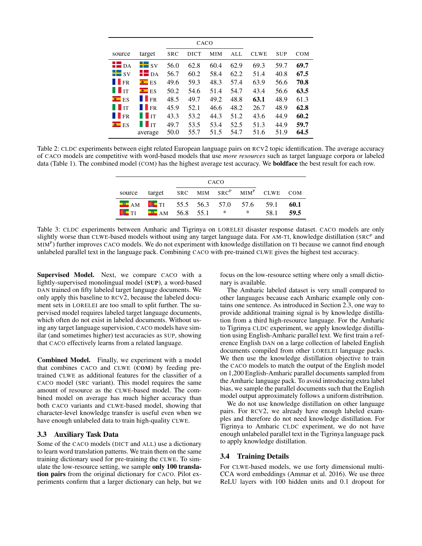| source                                       | target                        | <b>SRC</b> | DICT | MIM  | ALL  | <b>CLWE</b> | <b>SUP</b> | <b>COM</b> |
|----------------------------------------------|-------------------------------|------------|------|------|------|-------------|------------|------------|
| $H$ DA                                       | $\frac{1}{2}$ sv              | 56.0       | 62.8 | 60.4 | 62.9 | 69.3        | 59.7       | 69.7       |
| $\blacksquare$ sv                            | $\blacksquare$ DA             | 56.7       | 60.2 | 58.4 | 62.2 | 51.4        | 40.8       | 67.5       |
| $\blacksquare$ FR                            | $\bullet$ ES                  | 49.6       | 59.3 | 48.3 | 57.4 | 63.9        | 56.6       | 70.8       |
| $\blacksquare$                               | $\blacksquare$ ES             | 50.2       | 54.6 | 51.4 | 54.7 | 43.4        | 56.6       | 63.5       |
| $\blacksquare$ ES                            | IFR                           | 48.5       | 49.7 | 49.2 | 48.8 | 63.1        | 48.9       | 61.3       |
| $\blacksquare$ $\blacksquare$ $\blacksquare$ | IFR                           | 45.9       | 52.1 | 46.6 | 48.2 | 26.7        | 48.9       | 62.8       |
| $\blacksquare$ FR                            | $\blacksquare$                | 43.3       | 53.2 | 44.3 | 51.2 | 43.6        | 44.9       | 60.2       |
| $\blacksquare$ ES                            | $\blacksquare$ $\blacksquare$ | 49.7       | 53.5 | 53.4 | 52.5 | 51.3        | 44.9       | 59.7       |
|                                              | average                       | 50.0       | 55.7 | 51.5 | 54.7 | 51.6        | 51.9       | 64.5       |

Table 2: CLDC experiments between eight related European language pairs on RCV2 topic identification. The average accuracy of CACO models are competitive with word-based models that use *more resources* such as target language corpora or labeled data (Table 1). The combined model (COM) has the highest average test accuracy. We boldface the best result for each row.

|                                                                                                   | CACO |  |     |      |              |
|---------------------------------------------------------------------------------------------------|------|--|-----|------|--------------|
| source target SRC MIM SRC <sup>P</sup> MIM <sup>P</sup> CLWE COM                                  |      |  |     |      |              |
| $\blacksquare$ AM $\blacksquare$ TI 55.5 56.3 57.0 57.6 59.1<br><b>OF THE FURNE 56.8</b> 55.1 $*$ |      |  | $*$ | 58.1 | 60.1<br>59.5 |

Table 3: CLDC experiments between Amharic and Tigrinya on LORELEI disaster response dataset. CACO models are only slightly worse than CLWE-based models without using any target language data. For AM-TI, knowledge distillation (SRC<sup>P</sup> and MIM<sup>P</sup>) further improves CACO models. We do not experiment with knowledge distillation on TI because we cannot find enough unlabeled parallel text in the language pack. Combining CACO with pre-trained CLWE gives the highest test accuracy.

Supervised Model. Next, we compare CACO with a lightly-supervised monolingual model (SUP), a word-based DAN trained on fifty labeled target language documents. We only apply this baseline to RCV2, because the labeled document sets in LORELEI are too small to split further. The supervised model requires labeled target language documents, which often do not exist in labeled documents. Without using any target language supervision, CACO models have similar (and sometimes higher) test accuracies as SUP, showing that CACO effectively learns from a related language.

Combined Model. Finally, we experiment with a model that combines CACO and CLWE (COM) by feeding pretrained CLWE as additional features for the classifier of a CACO model (SRC variant). This model requires the same amount of resource as the CLWE-based model. The combined model on average has much higher accuracy than both CACO variants and CLWE-based model, showing that character-level knowledge transfer is useful even when we have enough unlabeled data to train high-quality CLWE.

## 3.3 Auxiliary Task Data

Some of the CACO models (DICT and ALL) use a dictionary to learn word translation patterns. We train them on the same training dictionary used for pre-training the CLWE. To simulate the low-resource setting, we sample only 100 translation pairs from the original dictionary for CACO. Pilot experiments confirm that a larger dictionary can help, but we

focus on the low-resource setting where only a small dictionary is available.

The Amharic labeled dataset is very small compared to other languages because each Amharic example only contains one sentence. As introduced in Section 2.3, one way to provide additional training signal is by knowledge distillation from a third high-resource language. For the Amharic to Tigrinya CLDC experiment, we apply knowledge distillation using English-Amharic parallel text. We first train a reference English DAN on a large collection of labeled English documents compiled from other LORELEI language packs. We then use the knowledge distillation objective to train the CACO models to match the output of the English model on 1,200 English-Amharic parallel documents sampled from the Amharic language pack. To avoid introducing extra label bias, we sample the parallel documents such that the English model output approximately follows a uniform distribution.

We do not use knowledge distillation on other language pairs. For RCV2, we already have enough labeled examples and therefore do not need knowledge distillation. For Tigrinya to Amharic CLDC experiment, we do not have enough unlabeled parallel text in the Tigrinya language pack to apply knowledge distillation.

## 3.4 Training Details

For CLWE-based models, we use forty dimensional multi-CCA word embeddings (Ammar et al. 2016). We use three ReLU layers with 100 hidden units and 0.1 dropout for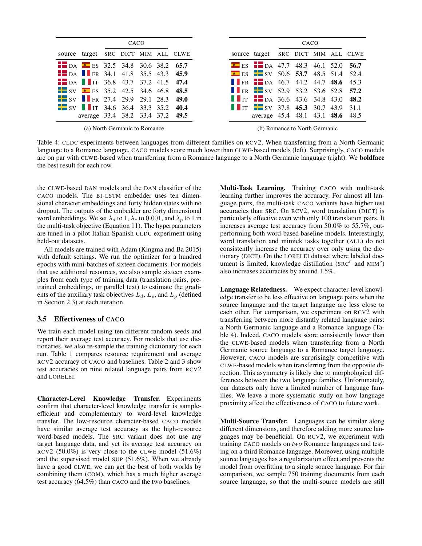|                                                              | CACO |  |  |
|--------------------------------------------------------------|------|--|--|
| source target SRC DICT MIM ALL CLWE                          |      |  |  |
| $\blacksquare$ DA $\blacksquare$ ES 32.5 34.8 30.6 38.2 65.7 |      |  |  |
| $\blacksquare$ DA $\blacksquare$ FR 34.1 41.8 35.5 43.3 45.9 |      |  |  |
| $\blacksquare$ DA $\blacksquare$ IT 36.8 43.7 37.2 41.5 47.4 |      |  |  |
| $\frac{1}{2}$ SV <b>e</b> ES 35.2 42.5 34.6 46.8 48.5        |      |  |  |
| $\blacksquare$ SV $\blacksquare$ FR 27.4 29.9 29.1 28.3 49.0 |      |  |  |
| $\blacksquare$ SV $\blacksquare$ IT 34.6 36.4 33.3 35.2 40.4 |      |  |  |
| average 33.4 38.2 33.4 37.2 49.5                             |      |  |  |

Table 4: CLDC experiments between languages from different families on RCV2. When transferring from a North Germanic language to a Romance language, CACO models score much lower than CLWE-based models (left). Surprisingly, CACO models are on par with CLWE-based when transferring from a Romance language to a North Germanic language (right). We **boldface** the best result for each row.

the CLWE-based DAN models and the DAN classifier of the CACO models. The BI-LSTM embedder uses ten dimensional character embeddings and forty hidden states with no dropout. The outputs of the embedder are forty dimensional word embeddings. We set  $\lambda_d$  to 1,  $\lambda_e$  to 0.001, and  $\lambda_p$  to 1 in the multi-task objective (Equation 11). The hyperparameters are tuned in a pilot Italian-Spanish CLDC experiment using held-out datasets.

All models are trained with Adam (Kingma and Ba 2015) with default settings. We run the optimizer for a hundred epochs with mini-batches of sixteen documents. For models that use additional resources, we also sample sixteen examples from each type of training data (translation pairs, pretrained embeddings, or parallel text) to estimate the gradients of the auxiliary task objectives  $L_d$ ,  $L_e$ , and  $L_p$  (defined in Section 2.3) at each iteration.

## 3.5 Effectiveness of CACO

We train each model using ten different random seeds and report their average test accuracy. For models that use dictionaries, we also re-sample the training dictionary for each run. Table 1 compares resource requirement and average RCV2 accuracy of CACO and baselines. Table 2 and 3 show test accuracies on nine related language pairs from RCV2 and LORELEI.

Character-Level Knowledge Transfer. Experiments confirm that character-level knowledge transfer is sampleefficient and complementary to word-level knowledge transfer. The low-resource character-based CACO models have similar average test accuracy as the high-resource word-based models. The SRC variant does not use any target language data, and yet its average test accuracy on RCV2 (50.0%) is very close to the CLWE model  $(51.6\%)$ and the supervised model SUP (51.6%). When we already have a good CLWE, we can get the best of both worlds by combining them (COM), which has a much higher average test accuracy (64.5%) than CACO and the two baselines.

Multi-Task Learning. Training CACO with multi-task learning further improves the accuracy. For almost all language pairs, the multi-task CACO variants have higher test accuracies than SRC. On RCV2, word translation (DICT) is particularly effective even with only 100 translation pairs. It increases average test accuracy from 50.0% to 55.7%, outperforming both word-based baseline models. Interestingly, word translation and mimick tasks together (ALL) do not consistently increase the accuracy over only using the dictionary (DICT). On the LORELEI dataset where labeled document is limited, knowledge distillation ( $SRC<sup>P</sup>$  and  $MIM<sup>P</sup>$ ) also increases accuracies by around 1.5%.

Language Relatedness. We expect character-level knowledge transfer to be less effective on language pairs when the source language and the target language are less close to each other. For comparison, we experiment on RCV2 with transferring between more distantly related language pairs: a North Germanic language and a Romance language (Table 4). Indeed, CACO models score consistently lower than the CLWE-based models when transferring from a North Germanic source language to a Romance target language. However, CACO models are surprisingly competitive with CLWE-based models when transferring from the opposite direction. This asymmetry is likely due to morphological differences between the two language families. Unfortunately, our datasets only have a limited number of language families. We leave a more systematic study on how language proximity affect the effectiveness of CACO to future work.

Multi-Source Transfer. Languages can be similar along different dimensions, and therefore adding more source languages may be beneficial. On RCV2, we experiment with training CACO models on *two* Romance languages and testing on a third Romance language. Moreover, using multiple source languages has a regularization effect and prevents the model from overfitting to a single source language. For fair comparison, we sample 750 training documents from each source language, so that the multi-source models are still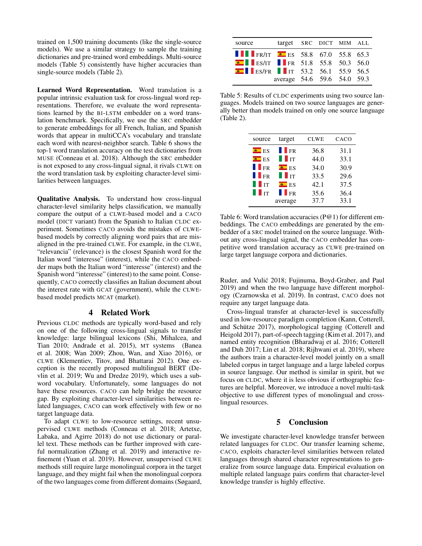trained on 1,500 training documents (like the single-source models). We use a similar strategy to sample the training dictionaries and pre-trained word embeddings. Multi-source models (Table 5) consistently have higher accuracies than single-source models (Table 2).

Learned Word Representation. Word translation is a popular intrinsic evaluation task for cross-lingual word representations. Therefore, we evaluate the word representations learned by the BI-LSTM embedder on a word translation benchmark. Specifically, we use the SRC embedder to generate embeddings for all French, Italian, and Spanish words that appear in multiCCA's vocabulary and translate each word with nearest-neighbor search. Table 6 shows the top-1 word translation accuracy on the test dictionaries from MUSE (Conneau et al. 2018). Although the SRC embedder is not exposed to any cross-lingual signal, it rivals CLWE on the word translation task by exploiting character-level similarities between languages.

Qualitative Analysis. To understand how cross-lingual character-level similarity helps classification, we manually compare the output of a CLWE-based model and a CACO model (DICT variant) from the Spanish to Italian CLDC experiment. Sometimes CACO avoids the mistakes of CLWEbased models by correctly aligning word pairs that are misaligned in the pre-trained CLWE. For example, in the CLWE, "relevancia" (relevance) is the closest Spanish word for the Italian word "interesse" (interest), while the CACO embedder maps both the Italian word "interesse" (interest) and the Spanish word "interesse" (interest) to the same point. Consequently, CACO correctly classifies an Italian document about the interest rate with GCAT (government), while the CLWEbased model predicts MCAT (market).

## 4 Related Work

Previous CLDC methods are typically word-based and rely on one of the following cross-lingual signals to transfer knowledge: large bilingual lexicons (Shi, Mihalcea, and Tian 2010; Andrade et al. 2015), MT systems (Banea et al. 2008; Wan 2009; Zhou, Wan, and Xiao 2016), or CLWE (Klementiev, Titov, and Bhattarai 2012). One exception is the recently proposed multilingual BERT (Devlin et al. 2019; Wu and Dredze 2019), which uses a subword vocabulary. Unfortunately, some languages do not have these resources. CACO can help bridge the resource gap. By exploiting character-level similarities between related languages, CACO can work effectively with few or no target language data.

To adapt CLWE to low-resource settings, recent unsupervised CLWE methods (Conneau et al. 2018; Artetxe, Labaka, and Agirre 2018) do not use dictionary or parallel text. These methods can be further improved with careful normalization (Zhang et al. 2019) and interactive refinement (Yuan et al. 2019). However, unsupervised CLWE methods still require large monolingual corpora in the target language, and they might fail when the monolingual corpora of the two languages come from different domains (Søgaard,

| source                                                     | target SRC DICT MIM ALL     |  |  |
|------------------------------------------------------------|-----------------------------|--|--|
| <b>T</b> FR/IT <b>a</b> ES 58.8 67.0 55.8 65.3             |                             |  |  |
| $\blacksquare$ ES/IT $\blacksquare$ FR 51.8 55.8 50.3 56.0 |                             |  |  |
| $\blacksquare$ ES/FR $\blacksquare$ IT 53.2 56.1 55.9 56.5 |                             |  |  |
|                                                            | average 54.6 59.6 54.0 59.3 |  |  |

Table 5: Results of CLDC experiments using two source languages. Models trained on two source languages are generally better than models trained on only one source language (Table 2).

| source         | target                                       | <b>CLWE</b> | CACO |
|----------------|----------------------------------------------|-------------|------|
| $B$ ES         | <b>II</b> FR                                 | 36.8        | 31.1 |
| $B$ ES         | $\blacksquare$ $\blacksquare$ $\blacksquare$ | 44.0        | 33.1 |
| <b>II</b> FR   | $\bullet$ ES                                 | 34.0        | 30.9 |
| <b>II</b> FR   | $\blacksquare$ $\blacksquare$                | 33.5        | 29.6 |
| $\blacksquare$ | $\blacksquare$ ES                            | 42.1        | 37.5 |
| l i t          | FR                                           | 35.6        | 36.4 |
|                | average                                      | 37.7        | 33.1 |

Table 6: Word translation accuracies (P@1) for different embeddings. The CACO embeddings are generated by the embedder of a SRC model trained on the source language. Without any cross-lingual signal, the CACO embedder has competitive word translation accuracy as CLWE pre-trained on large target language corpora and dictionaries.

Ruder, and Vulić 2018; Fujinuma, Boyd-Graber, and Paul 2019) and when the two language have different morphology (Czarnowska et al. 2019). In contrast, CACO does not require any target language data.

Cross-lingual transfer at character-level is successfully used in low-resource paradigm completion (Kann, Cotterell, and Schütze 2017), morphological tagging (Cotterell and Heigold 2017), part-of-speech tagging (Kim et al. 2017), and named entity recognition (Bharadwaj et al. 2016; Cotterell and Duh 2017; Lin et al. 2018; Rijhwani et al. 2019), where the authors train a character-level model jointly on a small labeled corpus in target language and a large labeled corpus in source language. Our method is similar in spirit, but we focus on CLDC, where it is less obvious if orthographic features are helpful. Moreover, we introduce a novel multi-task objective to use different types of monolingual and crosslingual resources.

## 5 Conclusion

We investigate character-level knowledge transfer between related languages for CLDC. Our transfer learning scheme, CACO, exploits character-level similarities between related languages through shared character representations to generalize from source language data. Empirical evaluation on multiple related language pairs confirm that character-level knowledge transfer is highly effective.